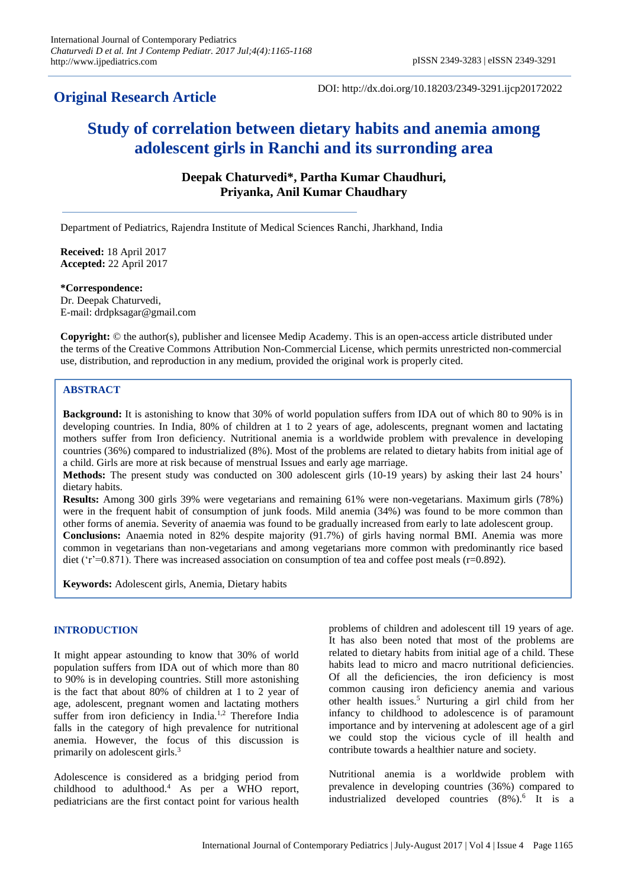# **Original Research Article**

DOI: http://dx.doi.org/10.18203/2349-3291.ijcp20172022

# **Study of correlation between dietary habits and anemia among adolescent girls in Ranchi and its surronding area**

**Deepak Chaturvedi\*, Partha Kumar Chaudhuri, Priyanka, Anil Kumar Chaudhary**

Department of Pediatrics, Rajendra Institute of Medical Sciences Ranchi, Jharkhand, India

**Received:** 18 April 2017 **Accepted:** 22 April 2017

**\*Correspondence:** Dr. Deepak Chaturvedi, E-mail: drdpksagar@gmail.com

**Copyright:** © the author(s), publisher and licensee Medip Academy. This is an open-access article distributed under the terms of the Creative Commons Attribution Non-Commercial License, which permits unrestricted non-commercial use, distribution, and reproduction in any medium, provided the original work is properly cited.

# **ABSTRACT**

**Background:** It is astonishing to know that 30% of world population suffers from IDA out of which 80 to 90% is in developing countries. In India, 80% of children at 1 to 2 years of age, adolescents, pregnant women and lactating mothers suffer from Iron deficiency. Nutritional anemia is a worldwide problem with prevalence in developing countries (36%) compared to industrialized (8%). Most of the problems are related to dietary habits from initial age of a child. Girls are more at risk because of menstrual Issues and early age marriage.

**Methods:** The present study was conducted on 300 adolescent girls (10-19 years) by asking their last 24 hours' dietary habits.

**Results:** Among 300 girls 39% were vegetarians and remaining 61% were non-vegetarians. Maximum girls (78%) were in the frequent habit of consumption of junk foods. Mild anemia (34%) was found to be more common than other forms of anemia. Severity of anaemia was found to be gradually increased from early to late adolescent group. **Conclusions:** Anaemia noted in 82% despite majority (91.7%) of girls having normal BMI. Anemia was more common in vegetarians than non-vegetarians and among vegetarians more common with predominantly rice based diet ('r'=0.871). There was increased association on consumption of tea and coffee post meals ( $r=0.892$ ).

**Keywords:** Adolescent girls, Anemia, Dietary habits

# **INTRODUCTION**

It might appear astounding to know that 30% of world population suffers from IDA out of which more than 80 to 90% is in developing countries. Still more astonishing is the fact that about 80% of children at 1 to 2 year of age, adolescent, pregnant women and lactating mothers suffer from iron deficiency in India.<sup>1,2</sup> Therefore India falls in the category of high prevalence for nutritional anemia. However, the focus of this discussion is primarily on adolescent girls.<sup>3</sup>

Adolescence is considered as a bridging period from childhood to adulthood.<sup>4</sup> As per a WHO report, pediatricians are the first contact point for various health problems of children and adolescent till 19 years of age. It has also been noted that most of the problems are related to dietary habits from initial age of a child. These habits lead to micro and macro nutritional deficiencies. Of all the deficiencies, the iron deficiency is most common causing iron deficiency anemia and various other health issues.<sup>5</sup> Nurturing a girl child from her infancy to childhood to adolescence is of paramount importance and by intervening at adolescent age of a girl we could stop the vicious cycle of ill health and contribute towards a healthier nature and society.

Nutritional anemia is a worldwide problem with prevalence in developing countries (36%) compared to industrialized developed countries (8%).<sup>6</sup> It is a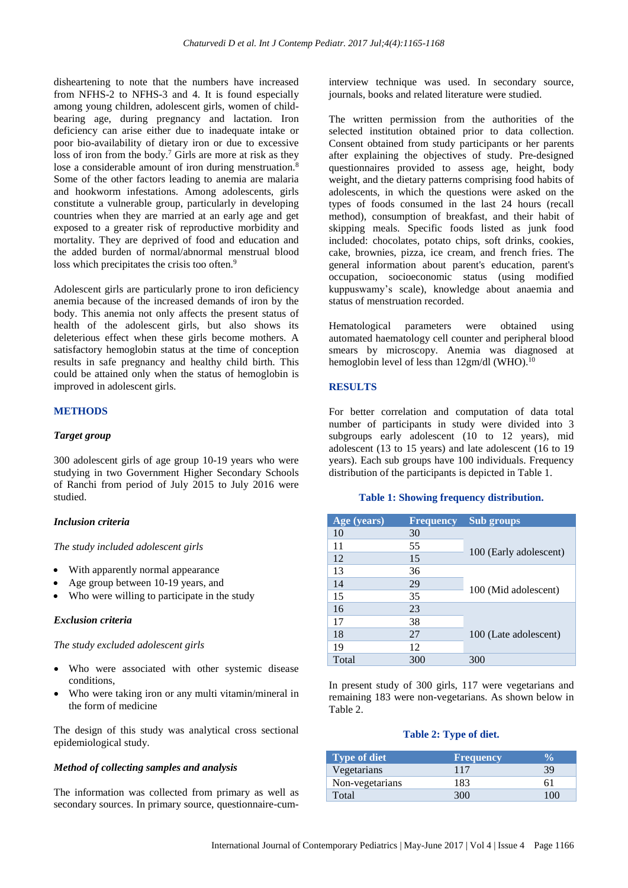disheartening to note that the numbers have increased from NFHS-2 to NFHS-3 and 4. It is found especially among young children, adolescent girls, women of childbearing age, during pregnancy and lactation. Iron deficiency can arise either due to inadequate intake or poor bio-availability of dietary iron or due to excessive loss of iron from the body.<sup>7</sup> Girls are more at risk as they lose a considerable amount of iron during menstruation.<sup>8</sup> Some of the other factors leading to anemia are malaria and hookworm infestations. Among adolescents, girls constitute a vulnerable group, particularly in developing countries when they are married at an early age and get exposed to a greater risk of reproductive morbidity and mortality. They are deprived of food and education and the added burden of normal/abnormal menstrual blood loss which precipitates the crisis too often.<sup>9</sup>

Adolescent girls are particularly prone to iron deficiency anemia because of the increased demands of iron by the body. This anemia not only affects the present status of health of the adolescent girls, but also shows its deleterious effect when these girls become mothers. A satisfactory hemoglobin status at the time of conception results in safe pregnancy and healthy child birth. This could be attained only when the status of hemoglobin is improved in adolescent girls.

# **METHODS**

## *Target group*

300 adolescent girls of age group 10-19 years who were studying in two Government Higher Secondary Schools of Ranchi from period of July 2015 to July 2016 were studied.

#### *Inclusion criteria*

#### *The study included adolescent girls*

- With apparently normal appearance
- Age group between 10-19 years, and
- Who were willing to participate in the study

#### *Exclusion criteria*

#### *The study excluded adolescent girls*

- Who were associated with other systemic disease conditions,
- Who were taking iron or any multi vitamin/mineral in the form of medicine

The design of this study was analytical cross sectional epidemiological study.

# *Method of collecting samples and analysis*

The information was collected from primary as well as secondary sources. In primary source, questionnaire-cuminterview technique was used. In secondary source, journals, books and related literature were studied.

The written permission from the authorities of the selected institution obtained prior to data collection. Consent obtained from study participants or her parents after explaining the objectives of study. Pre-designed questionnaires provided to assess age, height, body weight, and the dietary patterns comprising food habits of adolescents, in which the questions were asked on the types of foods consumed in the last 24 hours (recall method), consumption of breakfast, and their habit of skipping meals. Specific foods listed as junk food included: chocolates, potato chips, soft drinks, cookies, cake, brownies, pizza, ice cream, and french fries. The general information about parent's education, parent's occupation, socioeconomic status (using modified kuppuswamy's scale), knowledge about anaemia and status of menstruation recorded.

Hematological parameters were obtained using automated haematology cell counter and peripheral blood smears by microscopy. Anemia was diagnosed at hemoglobin level of less than 12gm/dl (WHO).<sup>10</sup>

#### **RESULTS**

For better correlation and computation of data total number of participants in study were divided into 3 subgroups early adolescent (10 to 12 years), mid adolescent (13 to 15 years) and late adolescent (16 to 19 years). Each sub groups have 100 individuals. Frequency distribution of the participants is depicted in Table 1.

#### **Table 1: Showing frequency distribution.**

| Age (years) | <b>Frequency</b> | Sub groups             |  |
|-------------|------------------|------------------------|--|
| 10          | 30               |                        |  |
| 11          | 55               |                        |  |
| 12          | 15               | 100 (Early adolescent) |  |
| 13          | 36               |                        |  |
| 14          | 29               |                        |  |
| 15          | 35               | 100 (Mid adolescent)   |  |
| 16          | 23               |                        |  |
| 17          | 38               |                        |  |
| 18          | 27               | 100 (Late adolescent)  |  |
| 19          | 12               |                        |  |
| Total       | 300              | 300                    |  |

In present study of 300 girls, 117 were vegetarians and remaining 183 were non-vegetarians. As shown below in Table 2.

#### **Table 2: Type of diet.**

| <b>Type of diet</b> | Frequency | 'n  |
|---------------------|-----------|-----|
| Vegetarians         |           | 39  |
| Non-vegetarians     | 183       |     |
| Total               |           | 100 |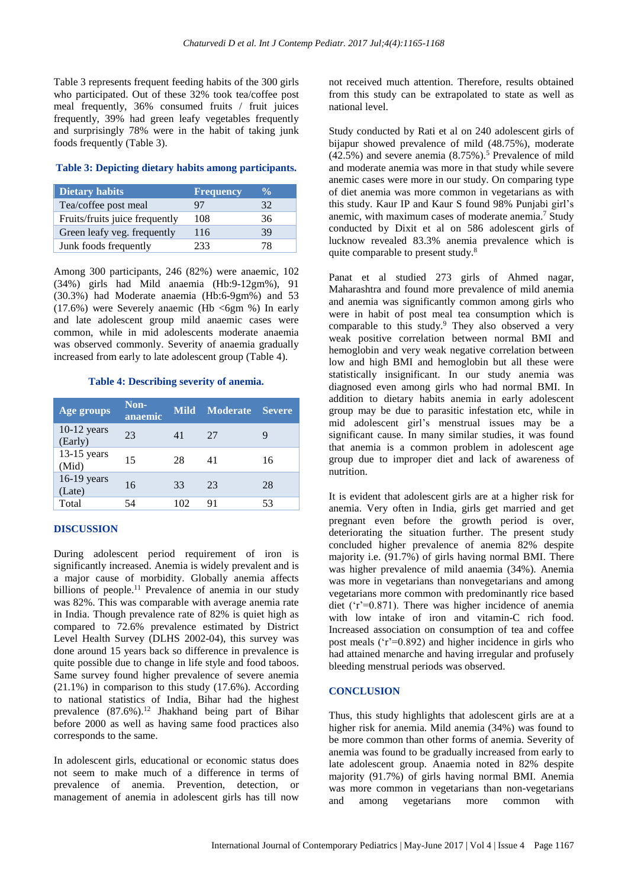Table 3 represents frequent feeding habits of the 300 girls who participated. Out of these 32% took tea/coffee post meal frequently, 36% consumed fruits / fruit juices frequently, 39% had green leafy vegetables frequently and surprisingly 78% were in the habit of taking junk foods frequently (Table 3).

# **Table 3: Depicting dietary habits among participants.**

| <b>Dietary habits</b>          | <b>Frequency</b> | $\frac{0}{2}$ |
|--------------------------------|------------------|---------------|
| Tea/coffee post meal           | 97               | 32            |
| Fruits/fruits juice frequently | 108              | 36            |
| Green leafy veg. frequently    | 116              | 39            |
| Junk foods frequently          | 233              |               |

Among 300 participants, 246 (82%) were anaemic, 102 (34%) girls had Mild anaemia (Hb:9-12gm%), 91 (30.3%) had Moderate anaemia (Hb:6-9gm%) and 53  $(17.6\%)$  were Severely anaemic (Hb <6gm %) In early and late adolescent group mild anaemic cases were common, while in mid adolescents moderate anaemia was observed commonly. Severity of anaemia gradually increased from early to late adolescent group (Table 4).

#### **Table 4: Describing severity of anemia.**

| Age groups               | Non-<br>anaemic | <b>Mild</b> | <b>Moderate</b> | <b>Severe</b> |
|--------------------------|-----------------|-------------|-----------------|---------------|
| $10-12$ years<br>(Early) | 23              | 41          | 27              |               |
| $13-15$ years<br>(Mid)   | 15              | 28          | 41              | 16            |
| 16-19 years<br>(Late)    | 16              | 33          | 23              | 28            |
| Total                    | 54              | 102         | 91              | 53            |

# **DISCUSSION**

During adolescent period requirement of iron is significantly increased. Anemia is widely prevalent and is a major cause of morbidity. Globally anemia affects billions of people.<sup>11</sup> Prevalence of anemia in our study was 82%. This was comparable with average anemia rate in India. Though prevalence rate of 82% is quiet high as compared to 72.6% prevalence estimated by District Level Health Survey (DLHS 2002-04), this survey was done around 15 years back so difference in prevalence is quite possible due to change in life style and food taboos. Same survey found higher prevalence of severe anemia (21.1%) in comparison to this study (17.6%). According to national statistics of India, Bihar had the highest prevalence  $(87.6\%)$ .<sup>12</sup> Jhakhand being part of Bihar before 2000 as well as having same food practices also corresponds to the same.

In adolescent girls, educational or economic status does not seem to make much of a difference in terms of prevalence of anemia. Prevention, detection, or management of anemia in adolescent girls has till now not received much attention. Therefore, results obtained from this study can be extrapolated to state as well as national level.

Study conducted by Rati et al on 240 adolescent girls of bijapur showed prevalence of mild (48.75%), moderate  $(42.5%)$  and severe anemia  $(8.75%)$ .<sup>5</sup> Prevalence of mild and moderate anemia was more in that study while severe anemic cases were more in our study. On comparing type of diet anemia was more common in vegetarians as with this study. Kaur IP and Kaur S found 98% Punjabi girl's anemic, with maximum cases of moderate anemia.<sup>7</sup> Study conducted by Dixit et al on 586 adolescent girls of lucknow revealed 83.3% anemia prevalence which is quite comparable to present study.<sup>8</sup>

Panat et al studied 273 girls of Ahmed nagar, Maharashtra and found more prevalence of mild anemia and anemia was significantly common among girls who were in habit of post meal tea consumption which is comparable to this study.<sup>9</sup> They also observed a very weak positive correlation between normal BMI and hemoglobin and very weak negative correlation between low and high BMI and hemoglobin but all these were statistically insignificant. In our study anemia was diagnosed even among girls who had normal BMI. In addition to dietary habits anemia in early adolescent group may be due to parasitic infestation etc, while in mid adolescent girl's menstrual issues may be a significant cause. In many similar studies, it was found that anemia is a common problem in adolescent age group due to improper diet and lack of awareness of nutrition.

It is evident that adolescent girls are at a higher risk for anemia. Very often in India, girls get married and get pregnant even before the growth period is over, deteriorating the situation further. The present study concluded higher prevalence of anemia 82% despite majority i.e. (91.7%) of girls having normal BMI. There was higher prevalence of mild anaemia (34%). Anemia was more in vegetarians than nonvegetarians and among vegetarians more common with predominantly rice based diet ('r'=0.871). There was higher incidence of anemia with low intake of iron and vitamin-C rich food. Increased association on consumption of tea and coffee post meals ( $r = 0.892$ ) and higher incidence in girls who had attained menarche and having irregular and profusely bleeding menstrual periods was observed.

# **CONCLUSION**

Thus, this study highlights that adolescent girls are at a higher risk for anemia. Mild anemia (34%) was found to be more common than other forms of anemia. Severity of anemia was found to be gradually increased from early to late adolescent group. Anaemia noted in 82% despite majority (91.7%) of girls having normal BMI. Anemia was more common in vegetarians than non-vegetarians and among vegetarians more common with